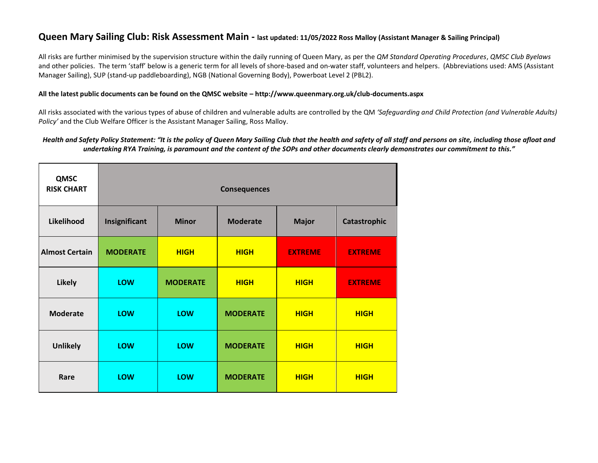# **Queen Mary Sailing Club: Risk Assessment Main - last updated: 11/05/2022 Ross Malloy (Assistant Manager & Sailing Principal)**

All risks are further minimised by the supervision structure within the daily running of Queen Mary, as per the *QM Standard Operating Procedures*, *QMSC Club Byelaws* and other policies. The term 'staff' below is a generic term for all levels of shore-based and on-water staff, volunteers and helpers. (Abbreviations used: AMS (Assistant Manager Sailing), SUP (stand-up paddleboarding), NGB (National Governing Body), Powerboat Level 2 (PBL2).

#### **All the latest public documents can be found on the QMSC website – http://www.queenmary.org.uk/club-documents.aspx**

All risks associated with the various types of abuse of children and vulnerable adults are controlled by the QM *'Safeguarding and Child Protection (and Vulnerable Adults) Policy'* and the Club Welfare Officer is the Assistant Manager Sailing, Ross Malloy.

#### *Health and Safety Policy Statement: "It is the policy of Queen Mary Sailing Club that the health and safety of all staff and persons on site, including those afloat and*  undertaking RYA Training, is paramount and the content of the SOPs and other documents clearly demonstrates our commitment to this."

| <b>QMSC</b><br><b>RISK CHART</b> | <b>Consequences</b> |                 |                 |                |                |
|----------------------------------|---------------------|-----------------|-----------------|----------------|----------------|
| Likelihood                       | Insignificant       | <b>Minor</b>    | <b>Moderate</b> | <b>Major</b>   | Catastrophic   |
| <b>Almost Certain</b>            | <b>MODERATE</b>     | <b>HIGH</b>     | <b>HIGH</b>     | <b>EXTREME</b> | <b>EXTREME</b> |
| <b>Likely</b>                    | LOW                 | <b>MODERATE</b> | <b>HIGH</b>     | <b>HIGH</b>    | <b>EXTREME</b> |
| <b>Moderate</b>                  | LOW                 | LOW             | <b>MODERATE</b> | <b>HIGH</b>    | <b>HIGH</b>    |
| <b>Unlikely</b>                  | LOW                 | LOW             | <b>MODERATE</b> | <b>HIGH</b>    | <b>HIGH</b>    |
| Rare                             | LOW                 | LOW             | <b>MODERATE</b> | <b>HIGH</b>    | <b>HIGH</b>    |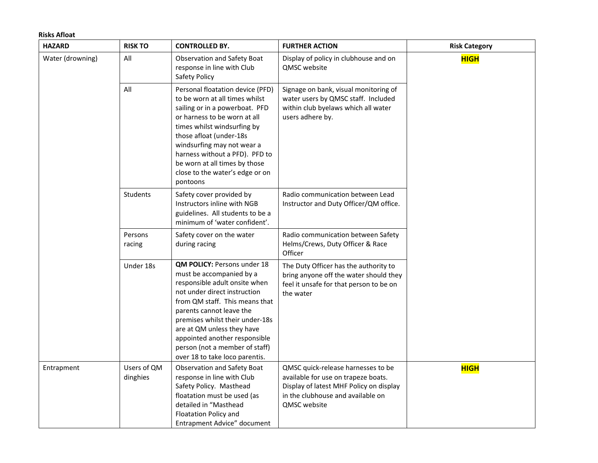#### **Risks Afloat**

| <b>HAZARD</b>    | <b>RISK TO</b>          | <b>CONTROLLED BY.</b>                                                                                                                                                                                                                                                                                                                                        | <b>FURTHER ACTION</b>                                                                                                                                                     | <b>Risk Category</b> |
|------------------|-------------------------|--------------------------------------------------------------------------------------------------------------------------------------------------------------------------------------------------------------------------------------------------------------------------------------------------------------------------------------------------------------|---------------------------------------------------------------------------------------------------------------------------------------------------------------------------|----------------------|
| Water (drowning) | All                     | <b>Observation and Safety Boat</b><br>response in line with Club<br>Safety Policy                                                                                                                                                                                                                                                                            | Display of policy in clubhouse and on<br>QMSC website                                                                                                                     | <b>HIGH</b>          |
|                  | All                     | Personal floatation device (PFD)<br>to be worn at all times whilst<br>sailing or in a powerboat. PFD<br>or harness to be worn at all<br>times whilst windsurfing by<br>those afloat (under-18s<br>windsurfing may not wear a<br>harness without a PFD). PFD to<br>be worn at all times by those<br>close to the water's edge or on<br>pontoons               | Signage on bank, visual monitoring of<br>water users by QMSC staff. Included<br>within club byelaws which all water<br>users adhere by.                                   |                      |
|                  | Students                | Safety cover provided by<br>Instructors inline with NGB<br>guidelines. All students to be a<br>minimum of 'water confident'.                                                                                                                                                                                                                                 | Radio communication between Lead<br>Instructor and Duty Officer/QM office.                                                                                                |                      |
|                  | Persons<br>racing       | Safety cover on the water<br>during racing                                                                                                                                                                                                                                                                                                                   | Radio communication between Safety<br>Helms/Crews, Duty Officer & Race<br>Officer                                                                                         |                      |
|                  | Under 18s               | QM POLICY: Persons under 18<br>must be accompanied by a<br>responsible adult onsite when<br>not under direct instruction<br>from QM staff. This means that<br>parents cannot leave the<br>premises whilst their under-18s<br>are at QM unless they have<br>appointed another responsible<br>person (not a member of staff)<br>over 18 to take loco parentis. | The Duty Officer has the authority to<br>bring anyone off the water should they<br>feel it unsafe for that person to be on<br>the water                                   |                      |
| Entrapment       | Users of QM<br>dinghies | Observation and Safety Boat<br>response in line with Club<br>Safety Policy. Masthead<br>floatation must be used (as<br>detailed in "Masthead<br>Floatation Policy and<br>Entrapment Advice" document                                                                                                                                                         | QMSC quick-release harnesses to be<br>available for use on trapeze boats.<br>Display of latest MHF Policy on display<br>in the clubhouse and available on<br>QMSC website | <b>HIGH</b>          |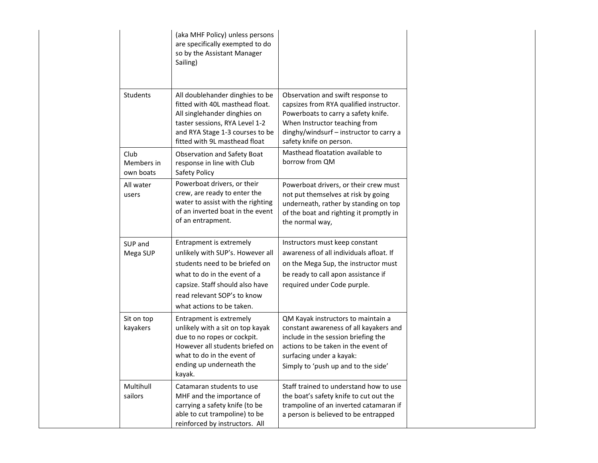|                                 | (aka MHF Policy) unless persons<br>are specifically exempted to do<br>so by the Assistant Manager<br>Sailing)                                                                                                                |                                                                                                                                                                                                                               |
|---------------------------------|------------------------------------------------------------------------------------------------------------------------------------------------------------------------------------------------------------------------------|-------------------------------------------------------------------------------------------------------------------------------------------------------------------------------------------------------------------------------|
| Students                        | All doublehander dinghies to be<br>fitted with 40L masthead float.<br>All singlehander dinghies on<br>taster sessions, RYA Level 1-2<br>and RYA Stage 1-3 courses to be<br>fitted with 9L masthead float                     | Observation and swift response to<br>capsizes from RYA qualified instructor.<br>Powerboats to carry a safety knife.<br>When Instructor teaching from<br>dinghy/windsurf - instructor to carry a<br>safety knife on person.    |
| Club<br>Members in<br>own boats | Observation and Safety Boat<br>response in line with Club<br>Safety Policy                                                                                                                                                   | Masthead floatation available to<br>borrow from QM                                                                                                                                                                            |
| All water<br>users              | Powerboat drivers, or their<br>crew, are ready to enter the<br>water to assist with the righting<br>of an inverted boat in the event<br>of an entrapment.                                                                    | Powerboat drivers, or their crew must<br>not put themselves at risk by going<br>underneath, rather by standing on top<br>of the boat and righting it promptly in<br>the normal way,                                           |
| SUP and<br>Mega SUP             | Entrapment is extremely<br>unlikely with SUP's. However all<br>students need to be briefed on<br>what to do in the event of a<br>capsize. Staff should also have<br>read relevant SOP's to know<br>what actions to be taken. | Instructors must keep constant<br>awareness of all individuals afloat. If<br>on the Mega Sup, the instructor must<br>be ready to call apon assistance if<br>required under Code purple.                                       |
| Sit on top<br>kayakers          | Entrapment is extremely<br>unlikely with a sit on top kayak<br>due to no ropes or cockpit.<br>However all students briefed on<br>what to do in the event of<br>ending up underneath the<br>kayak.                            | QM Kayak instructors to maintain a<br>constant awareness of all kayakers and<br>include in the session briefing the<br>actions to be taken in the event of<br>surfacing under a kayak:<br>Simply to 'push up and to the side' |
| Multihull<br>sailors            | Catamaran students to use<br>MHF and the importance of<br>carrying a safety knife (to be<br>able to cut trampoline) to be<br>reinforced by instructors. All                                                                  | Staff trained to understand how to use<br>the boat's safety knife to cut out the<br>trampoline of an inverted catamaran if<br>a person is believed to be entrapped                                                            |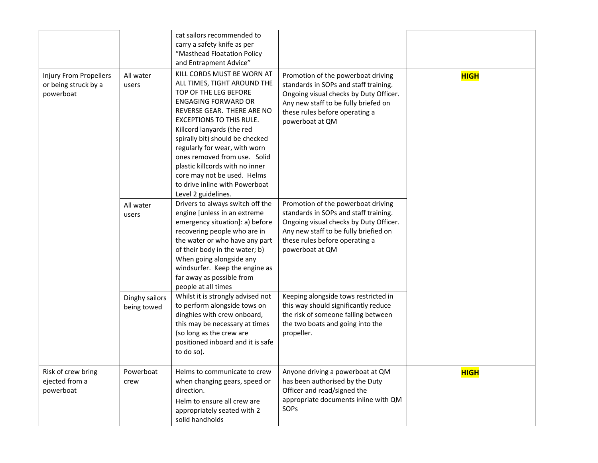|                                                             |                               | cat sailors recommended to<br>carry a safety knife as per<br>"Masthead Floatation Policy<br>and Entrapment Advice"                                                                                                                                                                                                                                                                                                                             |                                                                                                                                                                                                                     |             |
|-------------------------------------------------------------|-------------------------------|------------------------------------------------------------------------------------------------------------------------------------------------------------------------------------------------------------------------------------------------------------------------------------------------------------------------------------------------------------------------------------------------------------------------------------------------|---------------------------------------------------------------------------------------------------------------------------------------------------------------------------------------------------------------------|-------------|
| Injury From Propellers<br>or being struck by a<br>powerboat | All water<br>users            | KILL CORDS MUST BE WORN AT<br>ALL TIMES, TIGHT AROUND THE<br>TOP OF THE LEG BEFORE<br><b>ENGAGING FORWARD OR</b><br>REVERSE GEAR. THERE ARE NO<br><b>EXCEPTIONS TO THIS RULE.</b><br>Killcord lanyards (the red<br>spirally bit) should be checked<br>regularly for wear, with worn<br>ones removed from use. Solid<br>plastic killcords with no inner<br>core may not be used. Helms<br>to drive inline with Powerboat<br>Level 2 guidelines. | Promotion of the powerboat driving<br>standards in SOPs and staff training.<br>Ongoing visual checks by Duty Officer.<br>Any new staff to be fully briefed on<br>these rules before operating a<br>powerboat at QM  | <b>HIGH</b> |
|                                                             | All water<br>users            | Drivers to always switch off the<br>engine [unless in an extreme<br>emergency situation]: a) before<br>recovering people who are in<br>the water or who have any part<br>of their body in the water; b)<br>When going alongside any<br>windsurfer. Keep the engine as<br>far away as possible from<br>people at all times                                                                                                                      | Promotion of the powerboat driving<br>standards in SOPs and staff training.<br>Ongoing visual checks by Duty Officer.<br>Any new staff to be fully briefied on<br>these rules before operating a<br>powerboat at QM |             |
|                                                             | Dinghy sailors<br>being towed | Whilst it is strongly advised not<br>to perform alongside tows on<br>dinghies with crew onboard,<br>this may be necessary at times<br>(so long as the crew are<br>positioned inboard and it is safe<br>to do so).                                                                                                                                                                                                                              | Keeping alongside tows restricted in<br>this way should significantly reduce<br>the risk of someone falling between<br>the two boats and going into the<br>propeller.                                               |             |
| Risk of crew bring<br>ejected from a<br>powerboat           | Powerboat<br>crew             | Helms to communicate to crew<br>when changing gears, speed or<br>direction.<br>Helm to ensure all crew are<br>appropriately seated with 2<br>solid handholds                                                                                                                                                                                                                                                                                   | Anyone driving a powerboat at QM<br>has been authorised by the Duty<br>Officer and read/signed the<br>appropriate documents inline with QM<br>SOPs                                                                  | <b>HIGH</b> |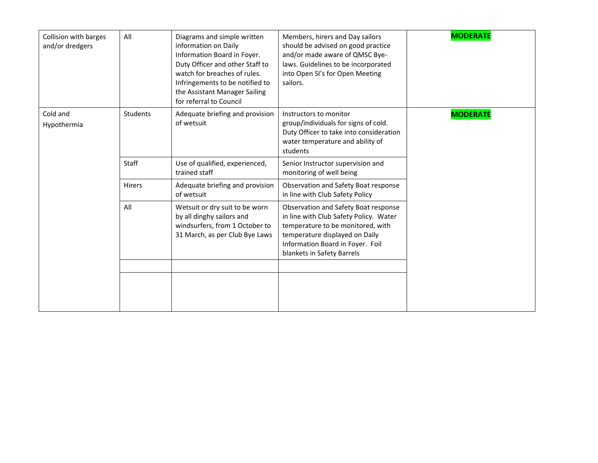| Collision with barges<br>and/or dredgers | All      | Diagrams and simple written<br>information on Daily<br>Information Board in Foyer.<br>Duty Officer and other Staff to<br>watch for breaches of rules.<br>Infringements to be notified to<br>the Assistant Manager Sailing<br>for referral to Council | Members, hirers and Day sailors<br>should be advised on good practice<br>and/or made aware of QMSC Bye-<br>laws. Guidelines to be incorporated<br>into Open SI's for Open Meeting<br>sailors.                           | <b>MODERATE</b> |
|------------------------------------------|----------|------------------------------------------------------------------------------------------------------------------------------------------------------------------------------------------------------------------------------------------------------|-------------------------------------------------------------------------------------------------------------------------------------------------------------------------------------------------------------------------|-----------------|
| Cold and<br>Hypothermia                  | Students | Adequate briefing and provision<br>of wetsuit                                                                                                                                                                                                        | Instructors to monitor<br>group/individuals for signs of cold.<br>Duty Officer to take into consideration<br>water temperature and ability of<br>students                                                               | <b>MODERATE</b> |
|                                          | Staff    | Use of qualified, experienced,<br>trained staff                                                                                                                                                                                                      | Senior Instructor supervision and<br>monitoring of well being                                                                                                                                                           |                 |
|                                          | Hirers   | Adequate briefing and provision<br>of wetsuit                                                                                                                                                                                                        | Observation and Safety Boat response<br>in line with Club Safety Policy                                                                                                                                                 |                 |
|                                          | All      | Wetsuit or dry suit to be worn<br>by all dinghy sailors and<br>windsurfers, from 1 October to<br>31 March, as per Club Bye Laws                                                                                                                      | Observation and Safety Boat response<br>in line with Club Safety Policy. Water<br>temperature to be monitored, with<br>temperature displayed on Daily<br>Information Board in Foyer. Foil<br>blankets in Safety Barrels |                 |
|                                          |          |                                                                                                                                                                                                                                                      |                                                                                                                                                                                                                         |                 |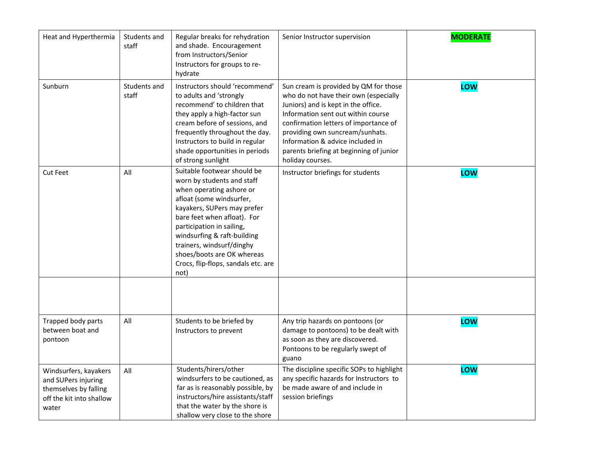| Heat and Hyperthermia                                                                                      | Students and<br>staff | Regular breaks for rehydration<br>and shade. Encouragement<br>from Instructors/Senior<br>Instructors for groups to re-<br>hydrate                                                                                                                                                                                                                     | Senior Instructor supervision                                                                                                                                                                                                                                                                                                              | <b>MODERATE</b> |
|------------------------------------------------------------------------------------------------------------|-----------------------|-------------------------------------------------------------------------------------------------------------------------------------------------------------------------------------------------------------------------------------------------------------------------------------------------------------------------------------------------------|--------------------------------------------------------------------------------------------------------------------------------------------------------------------------------------------------------------------------------------------------------------------------------------------------------------------------------------------|-----------------|
| Sunburn                                                                                                    | Students and<br>staff | Instructors should 'recommend'<br>to adults and 'strongly<br>recommend' to children that<br>they apply a high-factor sun<br>cream before of sessions, and<br>frequently throughout the day.<br>Instructors to build in regular<br>shade opportunities in periods<br>of strong sunlight                                                                | Sun cream is provided by QM for those<br>who do not have their own (especially<br>Juniors) and is kept in the office.<br>Information sent out within course<br>confirmation letters of importance of<br>providing own suncream/sunhats.<br>Information & advice included in<br>parents briefing at beginning of junior<br>holiday courses. | LOW             |
| <b>Cut Feet</b>                                                                                            | All                   | Suitable footwear should be<br>worn by students and staff<br>when operating ashore or<br>afloat (some windsurfer,<br>kayakers, SUPers may prefer<br>bare feet when afloat). For<br>participation in sailing,<br>windsurfing & raft-building<br>trainers, windsurf/dinghy<br>shoes/boots are OK whereas<br>Crocs, flip-flops, sandals etc. are<br>not) | Instructor briefings for students                                                                                                                                                                                                                                                                                                          | LOW             |
| Trapped body parts<br>between boat and<br>pontoon                                                          | All                   | Students to be briefed by<br>Instructors to prevent                                                                                                                                                                                                                                                                                                   | Any trip hazards on pontoons (or<br>damage to pontoons) to be dealt with<br>as soon as they are discovered.<br>Pontoons to be regularly swept of<br>guano                                                                                                                                                                                  | LOW             |
| Windsurfers, kayakers<br>and SUPers injuring<br>themselves by falling<br>off the kit into shallow<br>water | All                   | Students/hirers/other<br>windsurfers to be cautioned, as<br>far as is reasonably possible, by<br>instructors/hire assistants/staff<br>that the water by the shore is<br>shallow very close to the shore                                                                                                                                               | The discipline specific SOPs to highlight<br>any specific hazards for Instructors to<br>be made aware of and include in<br>session briefings                                                                                                                                                                                               | LOW             |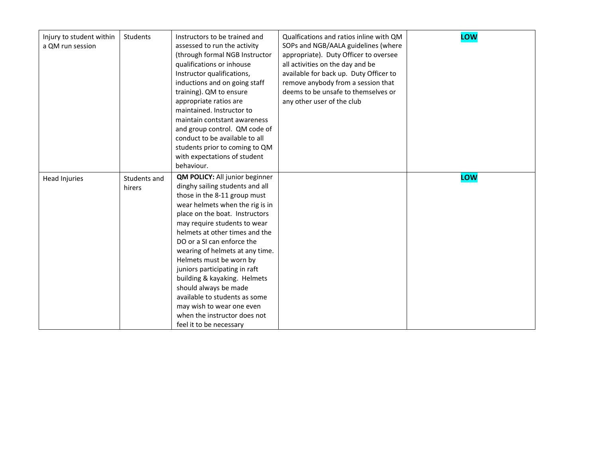| Injury to student within<br>a QM run session | Students               | Instructors to be trained and<br>assessed to run the activity<br>(through formal NGB Instructor<br>qualifications or inhouse<br>Instructor qualifications,<br>inductions and on going staff<br>training). QM to ensure<br>appropriate ratios are<br>maintained. Instructor to<br>maintain contstant awareness<br>and group control. QM code of<br>conduct to be available to all<br>students prior to coming to QM<br>with expectations of student<br>behaviour.                                                                                        | Qualfications and ratios inline with QM<br>SOPs and NGB/AALA guidelines (where<br>appropriate). Duty Officer to oversee<br>all activities on the day and be<br>available for back up. Duty Officer to<br>remove anybody from a session that<br>deems to be unsafe to themselves or<br>any other user of the club | LOW |
|----------------------------------------------|------------------------|---------------------------------------------------------------------------------------------------------------------------------------------------------------------------------------------------------------------------------------------------------------------------------------------------------------------------------------------------------------------------------------------------------------------------------------------------------------------------------------------------------------------------------------------------------|------------------------------------------------------------------------------------------------------------------------------------------------------------------------------------------------------------------------------------------------------------------------------------------------------------------|-----|
| Head Injuries                                | Students and<br>hirers | QM POLICY: All junior beginner<br>dinghy sailing students and all<br>those in the 8-11 group must<br>wear helmets when the rig is in<br>place on the boat. Instructors<br>may require students to wear<br>helmets at other times and the<br>DO or a SI can enforce the<br>wearing of helmets at any time.<br>Helmets must be worn by<br>juniors participating in raft<br>building & kayaking. Helmets<br>should always be made<br>available to students as some<br>may wish to wear one even<br>when the instructor does not<br>feel it to be necessary |                                                                                                                                                                                                                                                                                                                  | LOW |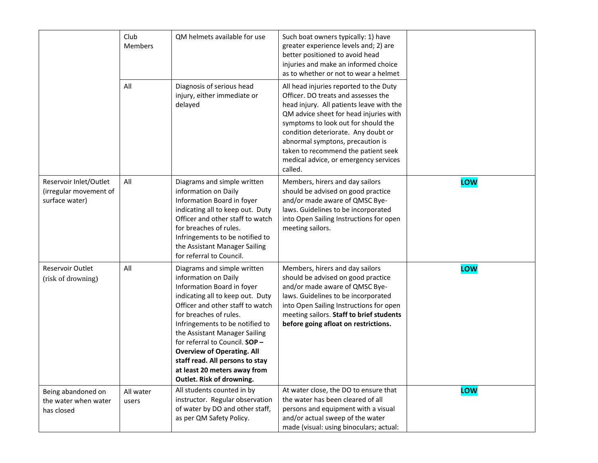|                                                                    | Club<br>Members    | QM helmets available for use                                                                                                                                                                                                                                                                                                                                                                                                  | Such boat owners typically: 1) have<br>greater experience levels and; 2) are<br>better positioned to avoid head<br>injuries and make an informed choice<br>as to whether or not to wear a helmet                                                                                                                                                                                 |     |
|--------------------------------------------------------------------|--------------------|-------------------------------------------------------------------------------------------------------------------------------------------------------------------------------------------------------------------------------------------------------------------------------------------------------------------------------------------------------------------------------------------------------------------------------|----------------------------------------------------------------------------------------------------------------------------------------------------------------------------------------------------------------------------------------------------------------------------------------------------------------------------------------------------------------------------------|-----|
|                                                                    | All                | Diagnosis of serious head<br>injury, either immediate or<br>delayed                                                                                                                                                                                                                                                                                                                                                           | All head injuries reported to the Duty<br>Officer. DO treats and assesses the<br>head injury. All patients leave with the<br>QM advice sheet for head injuries with<br>symptoms to look out for should the<br>condition deteriorate. Any doubt or<br>abnormal symptons, precaution is<br>taken to recommend the patient seek<br>medical advice, or emergency services<br>called. |     |
| Reservoir Inlet/Outlet<br>(irregular movement of<br>surface water) | All                | Diagrams and simple written<br>information on Daily<br>Information Board in foyer<br>indicating all to keep out. Duty<br>Officer and other staff to watch<br>for breaches of rules.<br>Infringements to be notified to<br>the Assistant Manager Sailing<br>for referral to Council.                                                                                                                                           | Members, hirers and day sailors<br>should be advised on good practice<br>and/or made aware of QMSC Bye-<br>laws. Guidelines to be incorporated<br>into Open Sailing Instructions for open<br>meeting sailors.                                                                                                                                                                    | LOW |
| Reservoir Outlet<br>(risk of drowning)                             | All                | Diagrams and simple written<br>information on Daily<br>Information Board in foyer<br>indicating all to keep out. Duty<br>Officer and other staff to watch<br>for breaches of rules.<br>Infringements to be notified to<br>the Assistant Manager Sailing<br>for referral to Council. SOP-<br><b>Overview of Operating. All</b><br>staff read. All persons to stay<br>at least 20 meters away from<br>Outlet. Risk of drowning. | Members, hirers and day sailors<br>should be advised on good practice<br>and/or made aware of QMSC Bye-<br>laws. Guidelines to be incorporated<br>into Open Sailing Instructions for open<br>meeting sailors. Staff to brief students<br>before going afloat on restrictions.                                                                                                    | LOW |
| Being abandoned on<br>the water when water<br>has closed           | All water<br>users | All students counted in by<br>instructor. Regular observation<br>of water by DO and other staff,<br>as per QM Safety Policy.                                                                                                                                                                                                                                                                                                  | At water close, the DO to ensure that<br>the water has been cleared of all<br>persons and equipment with a visual<br>and/or actual sweep of the water<br>made (visual: using binoculars; actual:                                                                                                                                                                                 | LOW |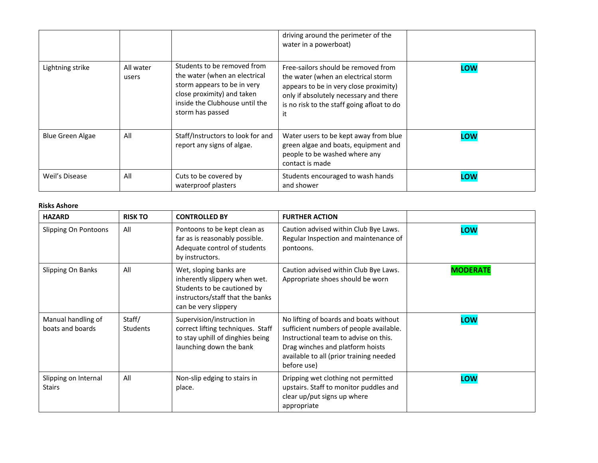|                         |                    |                                                                                                                                                                                 | driving around the perimeter of the<br>water in a powerboat)                                                                                                                                                       |            |
|-------------------------|--------------------|---------------------------------------------------------------------------------------------------------------------------------------------------------------------------------|--------------------------------------------------------------------------------------------------------------------------------------------------------------------------------------------------------------------|------------|
| Lightning strike        | All water<br>users | Students to be removed from<br>the water (when an electrical<br>storm appears to be in very<br>close proximity) and taken<br>inside the Clubhouse until the<br>storm has passed | Free-sailors should be removed from<br>the water (when an electrical storm<br>appears to be in very close proximity)<br>only if absolutely necessary and there<br>is no risk to the staff going afloat to do<br>it | LOW        |
| <b>Blue Green Algae</b> | All                | Staff/Instructors to look for and<br>report any signs of algae.                                                                                                                 | Water users to be kept away from blue<br>green algae and boats, equipment and<br>people to be washed where any<br>contact is made                                                                                  | LOW        |
| Weil's Disease          | All                | Cuts to be covered by<br>waterproof plasters                                                                                                                                    | Students encouraged to wash hands<br>and shower                                                                                                                                                                    | <b>LOW</b> |

## **Risks Ashore**

| <b>HAZARD</b>                          | <b>RISK TO</b>            | <b>CONTROLLED BY</b>                                                                                                                               | <b>FURTHER ACTION</b>                                                                                                                                                                                                    |                 |
|----------------------------------------|---------------------------|----------------------------------------------------------------------------------------------------------------------------------------------------|--------------------------------------------------------------------------------------------------------------------------------------------------------------------------------------------------------------------------|-----------------|
| Slipping On Pontoons                   | All                       | Pontoons to be kept clean as<br>far as is reasonably possible.<br>Adequate control of students<br>by instructors.                                  | Caution advised within Club Bye Laws.<br>Regular Inspection and maintenance of<br>pontoons.                                                                                                                              | LOW             |
| Slipping On Banks                      | All                       | Wet, sloping banks are<br>inherently slippery when wet.<br>Students to be cautioned by<br>instructors/staff that the banks<br>can be very slippery | Caution advised within Club Bye Laws.<br>Appropriate shoes should be worn                                                                                                                                                | <b>MODERATE</b> |
| Manual handling of<br>boats and boards | Staff/<br><b>Students</b> | Supervision/instruction in<br>correct lifting techniques. Staff<br>to stay uphill of dinghies being<br>launching down the bank                     | No lifting of boards and boats without<br>sufficient numbers of people available.<br>Instructional team to advise on this.<br>Drag winches and platform hoists<br>available to all (prior training needed<br>before use) | LOW             |
| Slipping on Internal<br><b>Stairs</b>  | All                       | Non-slip edging to stairs in<br>place.                                                                                                             | Dripping wet clothing not permitted<br>upstairs. Staff to monitor puddles and<br>clear up/put signs up where<br>appropriate                                                                                              | LOW             |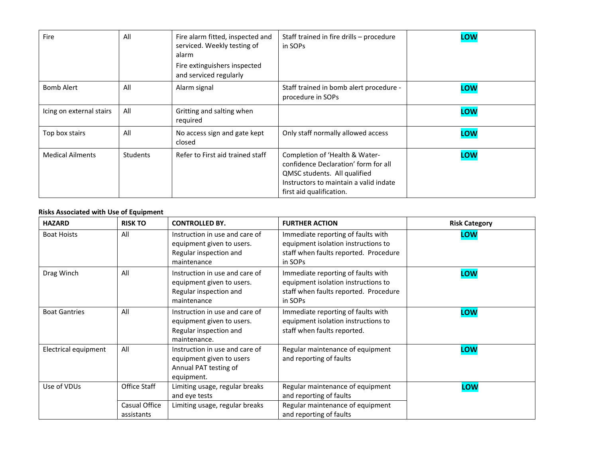| Fire                     | All             | Fire alarm fitted, inspected and<br>serviced. Weekly testing of<br>alarm<br>Fire extinguishers inspected<br>and serviced regularly | Staff trained in fire drills - procedure<br>in SOPs                                                                                                                          | LOW |
|--------------------------|-----------------|------------------------------------------------------------------------------------------------------------------------------------|------------------------------------------------------------------------------------------------------------------------------------------------------------------------------|-----|
| <b>Bomb Alert</b>        | All             | Alarm signal                                                                                                                       | Staff trained in bomb alert procedure -<br>procedure in SOPs                                                                                                                 | LOW |
| Icing on external stairs | All             | Gritting and salting when<br>required                                                                                              |                                                                                                                                                                              | LOW |
| Top box stairs           | All             | No access sign and gate kept<br>closed                                                                                             | Only staff normally allowed access                                                                                                                                           | LOW |
| <b>Medical Ailments</b>  | <b>Students</b> | Refer to First aid trained staff                                                                                                   | Completion of 'Health & Water-<br>confidence Declaration' form for all<br>QMSC students. All qualified<br>Instructors to maintain a valid indate<br>first aid qualification. | LOW |

## **Risks Associated with Use of Equipment**

| <b>HAZARD</b>        | <b>RISK TO</b>              | <b>CONTROLLED BY.</b>                                                                                 | <b>FURTHER ACTION</b>                                                                                                         | <b>Risk Category</b> |
|----------------------|-----------------------------|-------------------------------------------------------------------------------------------------------|-------------------------------------------------------------------------------------------------------------------------------|----------------------|
| <b>Boat Hoists</b>   | All                         | Instruction in use and care of<br>equipment given to users.<br>Regular inspection and<br>maintenance  | Immediate reporting of faults with<br>equipment isolation instructions to<br>staff when faults reported. Procedure<br>in SOPs | LOW                  |
| Drag Winch           | All                         | Instruction in use and care of<br>equipment given to users.<br>Regular inspection and<br>maintenance  | Immediate reporting of faults with<br>equipment isolation instructions to<br>staff when faults reported. Procedure<br>in SOPs | LOW                  |
| <b>Boat Gantries</b> | All                         | Instruction in use and care of<br>equipment given to users.<br>Regular inspection and<br>maintenance. | Immediate reporting of faults with<br>equipment isolation instructions to<br>staff when faults reported.                      | LOW                  |
| Electrical equipment | All                         | Instruction in use and care of<br>equipment given to users<br>Annual PAT testing of<br>equipment.     | Regular maintenance of equipment<br>and reporting of faults                                                                   | LOW                  |
| Use of VDUs          | Office Staff                | Limiting usage, regular breaks<br>and eye tests                                                       | Regular maintenance of equipment<br>and reporting of faults                                                                   | LOW                  |
|                      | Casual Office<br>assistants | Limiting usage, regular breaks                                                                        | Regular maintenance of equipment<br>and reporting of faults                                                                   |                      |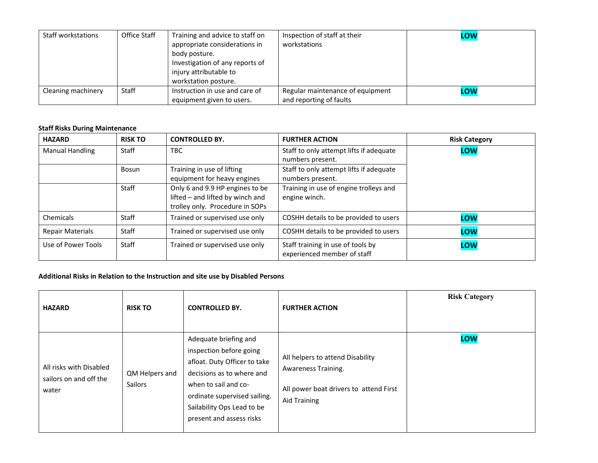| Staff workstations | Office Staff | Training and advice to staff on<br>appropriate considerations in<br>body posture.<br>Investigation of any reports of<br>injury attributable to<br>workstation posture. | Inspection of staff at their<br>workstations                | LOW |
|--------------------|--------------|------------------------------------------------------------------------------------------------------------------------------------------------------------------------|-------------------------------------------------------------|-----|
| Cleaning machinery | Staff        | Instruction in use and care of<br>equipment given to users.                                                                                                            | Regular maintenance of equipment<br>and reporting of faults | LOW |

### **Staff Risks During Maintenance**

| <b>HAZARD</b>           | <b>RISK TO</b> | <b>CONTROLLED BY.</b>                                                                                  | <b>FURTHER ACTION</b>                                            | <b>Risk Category</b> |
|-------------------------|----------------|--------------------------------------------------------------------------------------------------------|------------------------------------------------------------------|----------------------|
| <b>Manual Handling</b>  | Staff          | TBC.                                                                                                   | Staff to only attempt lifts if adequate<br>numbers present.      | LOW                  |
|                         | Bosun          | Training in use of lifting<br>equipment for heavy engines                                              | Staff to only attempt lifts if adequate<br>numbers present.      |                      |
|                         | Staff          | Only 6 and 9.9 HP engines to be<br>lifted - and lifted by winch and<br>trolley only. Procedure in SOPs | Training in use of engine trolleys and<br>engine winch.          |                      |
| Chemicals               | Staff          | Trained or supervised use only                                                                         | COSHH details to be provided to users                            | LOW                  |
| <b>Repair Materials</b> | Staff          | Trained or supervised use only                                                                         | COSHH details to be provided to users                            | LOW                  |
| Use of Power Tools      | Staff          | Trained or supervised use only                                                                         | Staff training in use of tools by<br>experienced member of staff | LOW                  |

# **Additional Risks in Relation to the Instruction and site use by Disabled Persons**

| <b>HAZARD</b>                                              | <b>RISK TO</b>                   | <b>CONTROLLED BY.</b>                                                                                                                                                                                                           | <b>FURTHER ACTION</b>                                                                                                    | <b>Risk Category</b> |
|------------------------------------------------------------|----------------------------------|---------------------------------------------------------------------------------------------------------------------------------------------------------------------------------------------------------------------------------|--------------------------------------------------------------------------------------------------------------------------|----------------------|
| All risks with Disabled<br>sailors on and off the<br>water | QM Helpers and<br><b>Sailors</b> | Adequate briefing and<br>inspection before going<br>afloat. Duty Officer to take<br>decisions as to where and<br>when to sail and co-<br>ordinate supervised sailing.<br>Sailability Ops Lead to be<br>present and assess risks | All helpers to attend Disability<br>Awareness Training.<br>All power boat drivers to attend First<br><b>Aid Training</b> | LOW                  |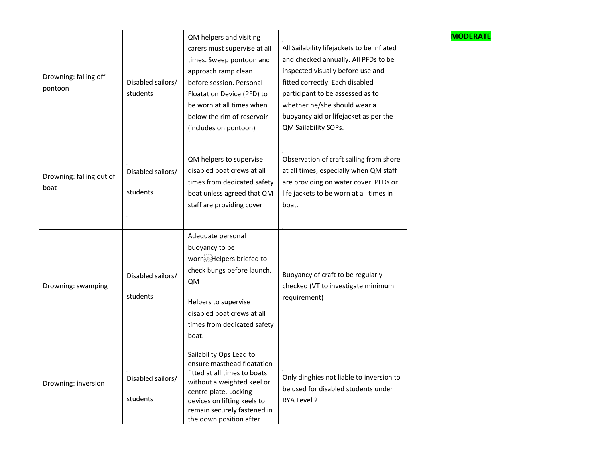| Drowning: falling off<br>pontoon | Disabled sailors/<br>students | QM helpers and visiting<br>carers must supervise at all<br>times. Sweep pontoon and<br>approach ramp clean<br>before session. Personal<br>Floatation Device (PFD) to<br>be worn at all times when<br>below the rim of reservoir<br>(includes on pontoon) | All Sailability lifejackets to be inflated<br>and checked annually. All PFDs to be<br>inspected visually before use and<br>fitted correctly. Each disabled<br>participant to be assessed as to<br>whether he/she should wear a<br>buoyancy aid or lifejacket as per the<br>QM Sailability SOPs. | <b>MODERATE</b> |
|----------------------------------|-------------------------------|----------------------------------------------------------------------------------------------------------------------------------------------------------------------------------------------------------------------------------------------------------|-------------------------------------------------------------------------------------------------------------------------------------------------------------------------------------------------------------------------------------------------------------------------------------------------|-----------------|
| Drowning: falling out of<br>boat | Disabled sailors/<br>students | QM helpers to supervise<br>disabled boat crews at all<br>times from dedicated safety<br>boat unless agreed that QM<br>staff are providing cover                                                                                                          | Observation of craft sailing from shore<br>at all times, especially when QM staff<br>are providing on water cover. PFDs or<br>life jackets to be worn at all times in<br>boat.                                                                                                                  |                 |
| Drowning: swamping               | Disabled sailors/<br>students | Adequate personal<br>buoyancy to be<br>wornseiHelpers briefed to<br>check bungs before launch.<br>QM<br>Helpers to supervise<br>disabled boat crews at all<br>times from dedicated safety<br>boat.                                                       | Buoyancy of craft to be regularly<br>checked (VT to investigate minimum<br>requirement)                                                                                                                                                                                                         |                 |
| Drowning: inversion              | Disabled sailors/<br>students | Sailability Ops Lead to<br>ensure masthead floatation<br>fitted at all times to boats<br>without a weighted keel or<br>centre-plate. Locking<br>devices on lifting keels to<br>remain securely fastened in<br>the down position after                    | Only dinghies not liable to inversion to<br>be used for disabled students under<br><b>RYA Level 2</b>                                                                                                                                                                                           |                 |